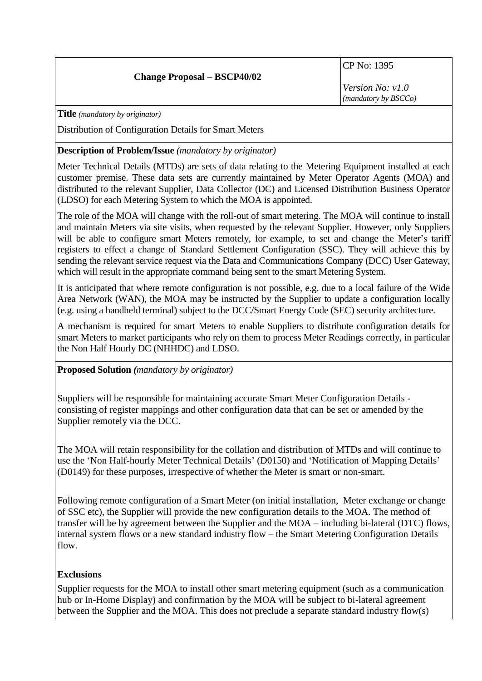## **Change Proposal – BSCP40/02**

CP No: 1395

*Version No: v1.0 (mandatory by BSCCo)*

**Title** *(mandatory by originator)*

Distribution of Configuration Details for Smart Meters

### **Description of Problem/Issue** *(mandatory by originator)*

Meter Technical Details (MTDs) are sets of data relating to the Metering Equipment installed at each customer premise. These data sets are currently maintained by Meter Operator Agents (MOA) and distributed to the relevant Supplier, Data Collector (DC) and Licensed Distribution Business Operator (LDSO) for each Metering System to which the MOA is appointed.

The role of the MOA will change with the roll-out of smart metering. The MOA will continue to install and maintain Meters via site visits, when requested by the relevant Supplier. However, only Suppliers will be able to configure smart Meters remotely, for example, to set and change the Meter's tariff registers to effect a change of Standard Settlement Configuration (SSC). They will achieve this by sending the relevant service request via the Data and Communications Company (DCC) User Gateway, which will result in the appropriate command being sent to the smart Metering System.

It is anticipated that where remote configuration is not possible, e.g. due to a local failure of the Wide Area Network (WAN), the MOA may be instructed by the Supplier to update a configuration locally (e.g. using a handheld terminal) subject to the DCC/Smart Energy Code (SEC) security architecture.

A mechanism is required for smart Meters to enable Suppliers to distribute configuration details for smart Meters to market participants who rely on them to process Meter Readings correctly, in particular the Non Half Hourly DC (NHHDC) and LDSO.

**Proposed Solution** *(mandatory by originator)*

Suppliers will be responsible for maintaining accurate Smart Meter Configuration Details consisting of register mappings and other configuration data that can be set or amended by the Supplier remotely via the DCC.

The MOA will retain responsibility for the collation and distribution of MTDs and will continue to use the 'Non Half-hourly Meter Technical Details' (D0150) and 'Notification of Mapping Details' (D0149) for these purposes, irrespective of whether the Meter is smart or non-smart.

Following remote configuration of a Smart Meter (on initial installation, Meter exchange or change of SSC etc), the Supplier will provide the new configuration details to the MOA. The method of transfer will be by agreement between the Supplier and the MOA – including bi-lateral (DTC) flows, internal system flows or a new standard industry flow – the Smart Metering Configuration Details flow.

# **Exclusions**

Supplier requests for the MOA to install other smart metering equipment (such as a communication hub or In-Home Display) and confirmation by the MOA will be subject to bi-lateral agreement between the Supplier and the MOA. This does not preclude a separate standard industry flow(s)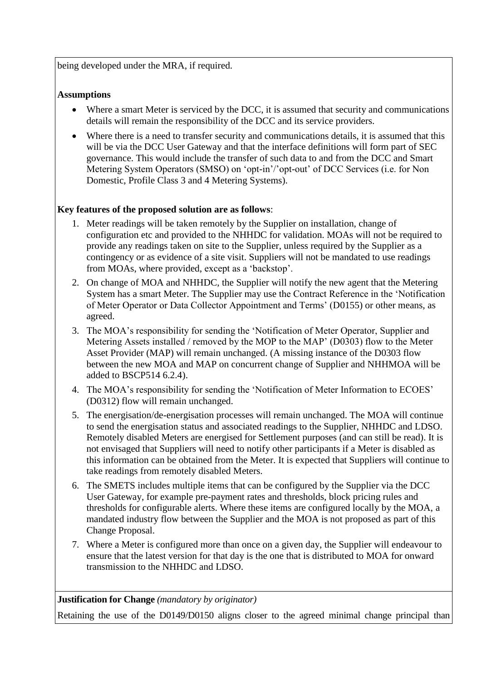being developed under the MRA, if required.

## **Assumptions**

- Where a smart Meter is serviced by the DCC, it is assumed that security and communications details will remain the responsibility of the DCC and its service providers.
- Where there is a need to transfer security and communications details, it is assumed that this will be via the DCC User Gateway and that the interface definitions will form part of SEC governance. This would include the transfer of such data to and from the DCC and Smart Metering System Operators (SMSO) on 'opt-in'/'opt-out' of DCC Services (i.e. for Non Domestic, Profile Class 3 and 4 Metering Systems).

# **Key features of the proposed solution are as follows**:

- 1. Meter readings will be taken remotely by the Supplier on installation, change of configuration etc and provided to the NHHDC for validation. MOAs will not be required to provide any readings taken on site to the Supplier, unless required by the Supplier as a contingency or as evidence of a site visit. Suppliers will not be mandated to use readings from MOAs, where provided, except as a 'backstop'.
- 2. On change of MOA and NHHDC, the Supplier will notify the new agent that the Metering System has a smart Meter. The Supplier may use the Contract Reference in the 'Notification of Meter Operator or Data Collector Appointment and Terms' (D0155) or other means, as agreed.
- 3. The MOA's responsibility for sending the 'Notification of Meter Operator, Supplier and Metering Assets installed / removed by the MOP to the MAP' (D0303) flow to the Meter Asset Provider (MAP) will remain unchanged. (A missing instance of the D0303 flow between the new MOA and MAP on concurrent change of Supplier and NHHMOA will be added to BSCP514 6.2.4).
- 4. The MOA's responsibility for sending the 'Notification of Meter Information to ECOES' (D0312) flow will remain unchanged.
- 5. The energisation/de-energisation processes will remain unchanged. The MOA will continue to send the energisation status and associated readings to the Supplier, NHHDC and LDSO. Remotely disabled Meters are energised for Settlement purposes (and can still be read). It is not envisaged that Suppliers will need to notify other participants if a Meter is disabled as this information can be obtained from the Meter. It is expected that Suppliers will continue to take readings from remotely disabled Meters.
- 6. The SMETS includes multiple items that can be configured by the Supplier via the DCC User Gateway, for example pre-payment rates and thresholds, block pricing rules and thresholds for configurable alerts. Where these items are configured locally by the MOA, a mandated industry flow between the Supplier and the MOA is not proposed as part of this Change Proposal.
- 7. Where a Meter is configured more than once on a given day, the Supplier will endeavour to ensure that the latest version for that day is the one that is distributed to MOA for onward transmission to the NHHDC and LDSO.

### **Justification for Change** *(mandatory by originator)*

Retaining the use of the D0149/D0150 aligns closer to the agreed minimal change principal than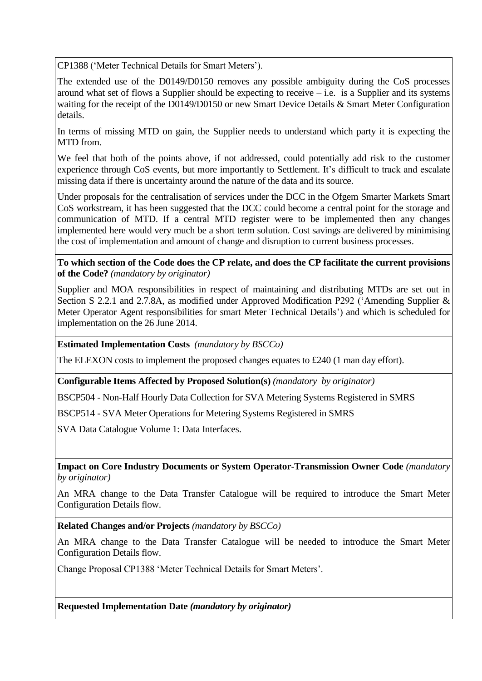CP1388 ('Meter Technical Details for Smart Meters').

The extended use of the D0149/D0150 removes any possible ambiguity during the CoS processes around what set of flows a Supplier should be expecting to receive  $-$  i.e. is a Supplier and its systems waiting for the receipt of the D0149/D0150 or new Smart Device Details & Smart Meter Configuration details.

In terms of missing MTD on gain, the Supplier needs to understand which party it is expecting the MTD from.

We feel that both of the points above, if not addressed, could potentially add risk to the customer experience through CoS events, but more importantly to Settlement. It's difficult to track and escalate missing data if there is uncertainty around the nature of the data and its source.

Under proposals for the centralisation of services under the DCC in the Ofgem Smarter Markets Smart CoS workstream, it has been suggested that the DCC could become a central point for the storage and communication of MTD. If a central MTD register were to be implemented then any changes implemented here would very much be a short term solution. Cost savings are delivered by minimising the cost of implementation and amount of change and disruption to current business processes.

#### **To which section of the Code does the CP relate, and does the CP facilitate the current provisions of the Code?** *(mandatory by originator)*

Supplier and MOA responsibilities in respect of maintaining and distributing MTDs are set out in Section S 2.2.1 and 2.7.8A, as modified under Approved Modification P292 ('Amending Supplier & Meter Operator Agent responsibilities for smart Meter Technical Details') and which is scheduled for implementation on the 26 June 2014.

**Estimated Implementation Costs** *(mandatory by BSCCo)*

The ELEXON costs to implement the proposed changes equates to  $\text{\pounds}240$  (1 man day effort).

**Configurable Items Affected by Proposed Solution(s)** *(mandatory by originator)*

BSCP504 - Non-Half Hourly Data Collection for SVA Metering Systems Registered in SMRS

BSCP514 - SVA Meter Operations for Metering Systems Registered in SMRS

SVA Data Catalogue Volume 1: Data Interfaces.

**Impact on Core Industry Documents or System Operator-Transmission Owner Code** *(mandatory by originator)*

An MRA change to the Data Transfer Catalogue will be required to introduce the Smart Meter Configuration Details flow.

**Related Changes and/or Projects** *(mandatory by BSCCo)*

An MRA change to the Data Transfer Catalogue will be needed to introduce the Smart Meter Configuration Details flow.

Change Proposal CP1388 'Meter Technical Details for Smart Meters'.

**Requested Implementation Date** *(mandatory by originator)*